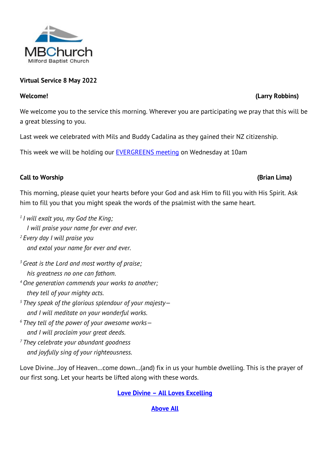

# **Virtual Service 8 May 2022**

We welcome you to the service this morning. Wherever you are participating we pray that this will be a great blessing to you.

Last week we celebrated with Mils and Buddy Cadalina as they gained their NZ citizenship.

This week we will be holding our [EVERGREENS meeting](https://milfordbaptist.co.nz/news-evergreens-melissa-hay-optometrist/) on Wednesday at 10am

## **Call to Worship (Brian Lima)**

This morning, please quiet your hearts before your God and ask Him to fill you with His Spirit. Ask him to fill you that you might speak the words of the psalmist with the same heart.

- *1 I will exalt you, my God the King; I will praise your name for ever and ever. <sup>2</sup> Every day I will praise you and extol your name for ever and ever.*
- *<sup>3</sup> Great is the Lord and most worthy of praise; his greatness no one can fathom.*
- *<sup>4</sup>One generation commends your works to another; they tell of your mighty acts.*
- *<sup>5</sup> They speak of the glorious splendour of your majesty and I will meditate on your wonderful works.*
- *<sup>6</sup> They tell of the power of your awesome works and I will proclaim your great deeds.*
- *<sup>7</sup> They celebrate your abundant goodness and joyfully sing of your righteousness.*

Love Divine…Joy of Heaven…come down…(and) fix in us your humble dwelling. This is the prayer of our first song. Let your hearts be lifted along with these words.

## **Love Divine – [All Loves Excelling](http://www.viewpure.com/0gvCODgV1fc?start=0&end=0)**

## **[Above All](http://www.viewpure.com/o-UkkiHR7v8?start=0&end=0)**

## **Welcome! (Larry Robbins)**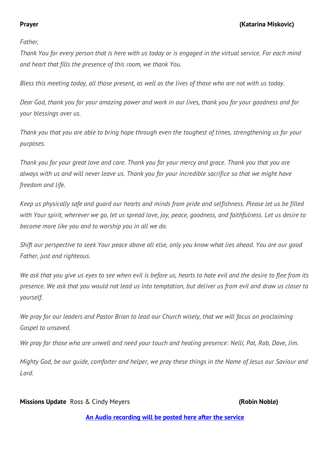*Father,*

*Thank You for every person that is here with us today or is engaged in the virtual service. For each mind and heart that fills the presence of this room, we thank You.*

*Bless this meeting today, all those present, as well as the lives of those who are not with us today.*

*Dear God, thank you for your amazing power and work in our lives, thank you for your goodness and for your blessings over us.* 

*Thank you that you are able to bring hope through even the toughest of times, strengthening us for your purposes.* 

*Thank you for your great love and care. Thank you for your mercy and grace. Thank you that you are always with us and will never leave us. Thank you for your incredible sacrifice so that we might have freedom and life.*

*Keep us physically safe and guard our hearts and minds from pride and selfishness. Please let us be filled with Your spirit, wherever we go, let us spread love, joy, peace, goodness, and faithfulness. Let us desire to become more like you and to worship you in all we do.*

*Shift our perspective to seek Your peace above all else, only you know what lies ahead. You are our good Father, just and righteous.*

*We ask that you give us eyes to see when evil is before us, hearts to hate evil and the desire to flee from its presence. We ask that you would not lead us into temptation, but deliver us from evil and draw us closer to yourself.*

*We pray for our leaders and Pastor Brian to lead our Church wisely, that we will focus on proclaiming Gospel to unsaved.*

*We pray for those who are unwell and need your touch and healing presence: Nelli, Pat, Rob, Dave, Jim.* 

*Mighty God, be our guide, comforter and helper, we pray these things in the Name of Jesus our Saviour and Lord.*

## **Missions Update** Ross & Cindy Meyers **(Robin Noble)**

**[An Audio recording will be posted here](https://milfordbaptist.co.nz/supremacy_son_of_god/) after the service**